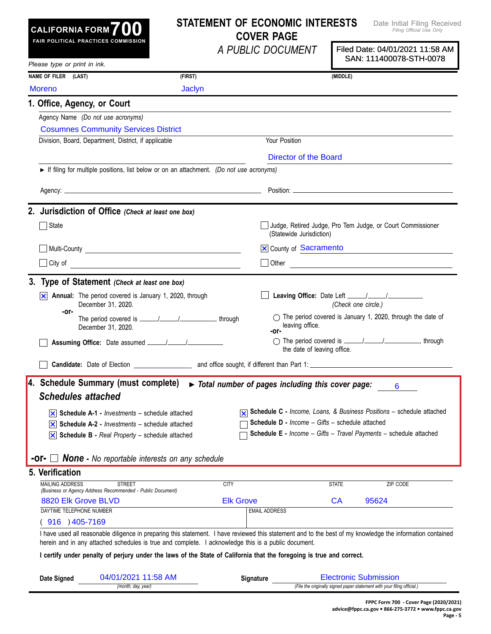### **STATEMENT OF ECONOMIC INTERESTS COVER PAGE**

*A PUBLIC DOCUMENT*

Date Initial Filing Received *Filing Official Use Only*

|                                   |                                                                                                                                                                                                                                                                   | A PUBLIC DOCUMENT                                                 |                                                        | Filed Date: 04/01/2021 11:58 AM<br>SAN: 111400078-STH-0078            |
|-----------------------------------|-------------------------------------------------------------------------------------------------------------------------------------------------------------------------------------------------------------------------------------------------------------------|-------------------------------------------------------------------|--------------------------------------------------------|-----------------------------------------------------------------------|
| Please type or print in ink.      |                                                                                                                                                                                                                                                                   |                                                                   |                                                        |                                                                       |
| NAME OF FILER (LAST)              | (FIRST)                                                                                                                                                                                                                                                           |                                                                   | (MIDDLE)                                               |                                                                       |
| <b>Moreno</b>                     | <b>Jaclyn</b>                                                                                                                                                                                                                                                     |                                                                   |                                                        |                                                                       |
| 1. Office, Agency, or Court       |                                                                                                                                                                                                                                                                   |                                                                   |                                                        |                                                                       |
| Agency Name (Do not use acronyms) |                                                                                                                                                                                                                                                                   |                                                                   |                                                        |                                                                       |
|                                   | <b>Cosumnes Community Services District</b>                                                                                                                                                                                                                       |                                                                   |                                                        |                                                                       |
|                                   | Division, Board, Department, District, if applicable                                                                                                                                                                                                              | Your Position                                                     |                                                        |                                                                       |
|                                   |                                                                                                                                                                                                                                                                   |                                                                   | Director of the Board                                  |                                                                       |
|                                   | If filing for multiple positions, list below or on an attachment. (Do not use acronyms)                                                                                                                                                                           |                                                                   |                                                        |                                                                       |
|                                   |                                                                                                                                                                                                                                                                   |                                                                   |                                                        |                                                                       |
|                                   |                                                                                                                                                                                                                                                                   |                                                                   |                                                        |                                                                       |
|                                   | 2. Jurisdiction of Office (Check at least one box)                                                                                                                                                                                                                |                                                                   |                                                        |                                                                       |
| $\Box$ State                      |                                                                                                                                                                                                                                                                   |                                                                   | (Statewide Jurisdiction)                               | Judge, Retired Judge, Pro Tem Judge, or Court Commissioner            |
|                                   |                                                                                                                                                                                                                                                                   |                                                                   | <b>X</b> County of Sacramento                          |                                                                       |
|                                   | City of <u>contracts</u>                                                                                                                                                                                                                                          |                                                                   |                                                        | Other <u>Communication</u>                                            |
|                                   | 3. Type of Statement (Check at least one box)                                                                                                                                                                                                                     |                                                                   |                                                        |                                                                       |
| ∣×∣                               | Annual: The period covered is January 1, 2020, through                                                                                                                                                                                                            |                                                                   |                                                        |                                                                       |
|                                   | December 31, 2020.                                                                                                                                                                                                                                                |                                                                   |                                                        | (Check one circle.)                                                   |
| -or-                              | December 31, 2020.                                                                                                                                                                                                                                                |                                                                   | leaving office.                                        | $\bigcirc$ The period covered is January 1, 2020, through the date of |
|                                   |                                                                                                                                                                                                                                                                   |                                                                   |                                                        |                                                                       |
|                                   |                                                                                                                                                                                                                                                                   | -or-                                                              | the date of leaving office.                            |                                                                       |
|                                   |                                                                                                                                                                                                                                                                   |                                                                   |                                                        | ◯ The period covered is _____/______/__________________, through      |
|                                   | 4. Schedule Summary (must complete)                                                                                                                                                                                                                               | $\triangleright$ Total number of pages including this cover page: |                                                        | 6                                                                     |
| <b>Schedules attached</b>         |                                                                                                                                                                                                                                                                   |                                                                   |                                                        |                                                                       |
|                                   | $ \mathbf{x} $ Schedule A-1 - Investments - schedule attached                                                                                                                                                                                                     |                                                                   |                                                        |                                                                       |
|                                   | $ \mathbf{x} $ Schedule A-2 - <i>Investments</i> – schedule attached                                                                                                                                                                                              |                                                                   | <b>Schedule D - Income - Gifts - schedule attached</b> | Schedule C - Income, Loans, & Business Positions - schedule attached  |
|                                   | $\overline{\times}$ Schedule B - Real Property – schedule attached                                                                                                                                                                                                |                                                                   |                                                        | Schedule E - Income - Gifts - Travel Payments - schedule attached     |
|                                   |                                                                                                                                                                                                                                                                   |                                                                   |                                                        |                                                                       |
| -or- □                            | <b>None</b> - No reportable interests on any schedule                                                                                                                                                                                                             |                                                                   |                                                        |                                                                       |
| 5. Verification                   |                                                                                                                                                                                                                                                                   |                                                                   |                                                        |                                                                       |
| <b>MAILING ADDRESS</b>            | <b>STREET</b><br>(Business or Agency Address Recommended - Public Document)                                                                                                                                                                                       | <b>CITY</b>                                                       | <b>STATE</b>                                           | ZIP CODE                                                              |
| 8820 Elk Grove BLVD               |                                                                                                                                                                                                                                                                   | <b>Elk Grove</b>                                                  | CA                                                     | 95624                                                                 |
| DAYTIME TELEPHONE NUMBER          |                                                                                                                                                                                                                                                                   | <b>EMAIL ADDRESS</b>                                              |                                                        |                                                                       |
| 916 ) 405-7169                    |                                                                                                                                                                                                                                                                   |                                                                   |                                                        |                                                                       |
|                                   | I have used all reasonable diligence in preparing this statement. I have reviewed this statement and to the best of my knowledge the information contained<br>herein and in any attached schedules is true and complete. I acknowledge this is a public document. |                                                                   |                                                        |                                                                       |
|                                   | I certify under penalty of perjury under the laws of the State of California that the foregoing is true and correct.                                                                                                                                              |                                                                   |                                                        |                                                                       |
| Date Signed                       | 04/01/2021 11:58 AM                                                                                                                                                                                                                                               | <b>Signature</b>                                                  |                                                        | <b>Electronic Submission</b>                                          |

| Date<br>Sianed |                    | Sianature |                                                                         |  |
|----------------|--------------------|-----------|-------------------------------------------------------------------------|--|
|                | (month, day, year) |           | (File the originally signed paper statement with your filing official.) |  |
|                |                    |           |                                                                         |  |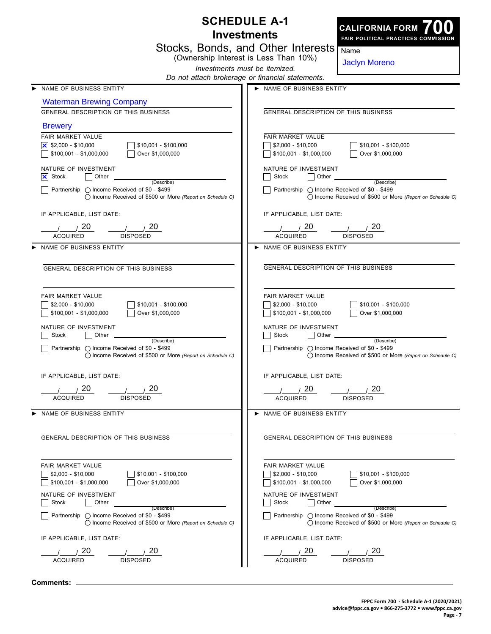|                                                                                                                                                    | <b>SCHEDULE A-1</b><br><b>CALIFORNIA FORM</b><br><b>Investments</b>                                                                                |
|----------------------------------------------------------------------------------------------------------------------------------------------------|----------------------------------------------------------------------------------------------------------------------------------------------------|
|                                                                                                                                                    | FAIR POLITICAL PRACTICES COMMISSION<br>Stocks, Bonds, and Other Interests<br>Name<br>(Ownership Interest is Less Than 10%)                         |
|                                                                                                                                                    | <b>Jaclyn Moreno</b><br>Investments must be itemized.                                                                                              |
| NAME OF BUSINESS ENTITY                                                                                                                            | Do not attach brokerage or financial statements.<br>NAME OF BUSINESS ENTITY                                                                        |
| <b>Waterman Brewing Company</b>                                                                                                                    |                                                                                                                                                    |
| GENERAL DESCRIPTION OF THIS BUSINESS                                                                                                               | GENERAL DESCRIPTION OF THIS BUSINESS                                                                                                               |
| <b>Brewery</b>                                                                                                                                     |                                                                                                                                                    |
| FAIR MARKET VALUE                                                                                                                                  | FAIR MARKET VALUE                                                                                                                                  |
| \$10,001 - \$100,000<br>\$100,001 - \$1,000,000<br>Over \$1,000,000                                                                                | $$2,000 - $10,000$<br>$$10,001 - $100,000$<br>$$100,001 - $1,000,000$<br>Over \$1,000,000                                                          |
| NATURE OF INVESTMENT<br>IХI<br>Stock<br>Other<br>(Describe)                                                                                        | NATURE OF INVESTMENT<br>Stock<br>Other<br>(Describe)                                                                                               |
| Partnership $\bigcirc$ Income Received of \$0 - \$499<br>◯ Income Received of \$500 or More (Report on Schedule C)                                 | Partnership $\bigcirc$ Income Received of \$0 - \$499<br>() Income Received of \$500 or More (Report on Schedule C)                                |
| IF APPLICABLE, LIST DATE:                                                                                                                          | IF APPLICABLE, LIST DATE:                                                                                                                          |
| 20<br>20.<br><b>ACQUIRED</b><br><b>DISPOSED</b>                                                                                                    | 20<br>20<br><b>ACQUIRED</b><br><b>DISPOSED</b>                                                                                                     |
| NAME OF BUSINESS ENTITY                                                                                                                            | NAME OF BUSINESS ENTITY                                                                                                                            |
| <b>GENERAL DESCRIPTION OF THIS BUSINESS</b>                                                                                                        | <b>GENERAL DESCRIPTION OF THIS BUSINESS</b>                                                                                                        |
| FAIR MARKET VALUE<br>$$2,000 - $10,000$<br>\$10,001 - \$100,000<br>Over \$1,000,000<br>$$100,001 - $1,000,000$<br>NATURE OF INVESTMENT             | FAIR MARKET VALUE<br>$$2,000 - $10,000$<br>$$10,001 - $100,000$<br>$$100,001 - $1,000,000$<br>Over \$1,000,000<br>NATURE OF INVESTMENT             |
| Stock<br>Other<br>(Describe)<br>Partnership $\bigcirc$ Income Received of \$0 - \$499<br>◯ Income Received of \$500 or More (Report on Schedule C) | Stock<br>Other<br>(Describe)<br>Partnership $\bigcirc$ Income Received of \$0 - \$499<br>◯ Income Received of \$500 or More (Report on Schedule C) |
| IF APPLICABLE, LIST DATE:                                                                                                                          | IF APPLICABLE, LIST DATE:                                                                                                                          |
| 20<br>20                                                                                                                                           | 20<br>20                                                                                                                                           |
| <b>ACQUIRED</b><br><b>DISPOSED</b>                                                                                                                 | <b>ACQUIRED</b><br><b>DISPOSED</b>                                                                                                                 |
| > NAME OF BUSINESS ENTITY                                                                                                                          | > NAME OF BUSINESS ENTITY                                                                                                                          |
| GENERAL DESCRIPTION OF THIS BUSINESS                                                                                                               | <b>GENERAL DESCRIPTION OF THIS BUSINESS</b>                                                                                                        |
| FAIR MARKET VALUE<br>$\frac{1}{2}$ \$2,000 - \$10,000<br>$$10,001 - $100,000$<br>$$100,001 - $1,000,000$<br>Over \$1,000,000                       | <b>FAIR MARKET VALUE</b><br>$\frac{1}{2}$ \$2,000 - \$10,000<br>\$10,001 - \$100,000<br>\$100,001 - \$1,000,000<br>Over \$1,000,000                |
| NATURE OF INVESTMENT<br>Stock<br>Other                                                                                                             | NATURE OF INVESTMENT<br>Stock<br>Other                                                                                                             |
| (Describe)<br>Partnership $\bigcap$ Income Received of \$0 - \$499<br>◯ Income Received of \$500 or More (Report on Schedule C)                    | (Describe)<br>Partnership ( Income Received of \$0 - \$499<br>() Income Received of \$500 or More (Report on Schedule C)                           |
| IF APPLICABLE, LIST DATE:                                                                                                                          | IF APPLICABLE, LIST DATE:                                                                                                                          |
| 20<br>20                                                                                                                                           | 20<br>20                                                                                                                                           |
| <b>ACQUIRED</b><br><b>DISPOSED</b>                                                                                                                 | <b>ACQUIRED</b><br><b>DISPOSED</b>                                                                                                                 |

**Comments:**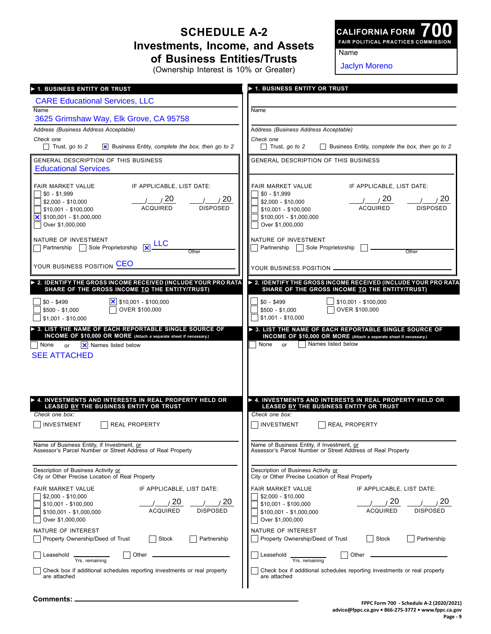### **SCHEDULE A-2 Investments, Income, and Assets of Business Entities/Trusts** (Ownership Interest is 10% or Greater)

**700 FAIR POLITICAL PRACTICES COMMISSION CALIFORNIA FORM**

Name

| (Ownership Interest is 10% or Greater)                                                                                                                                                             | <b>Jaclyn Moreno</b>                                                                                                                                             |
|----------------------------------------------------------------------------------------------------------------------------------------------------------------------------------------------------|------------------------------------------------------------------------------------------------------------------------------------------------------------------|
| ▶ 1. BUSINESS ENTITY OR TRUST                                                                                                                                                                      | > 1. BUSINESS ENTITY OR TRUST                                                                                                                                    |
| <b>CARE Educational Services, LLC</b>                                                                                                                                                              |                                                                                                                                                                  |
| Name<br>3625 Grimshaw Way, Elk Grove, CA 95758                                                                                                                                                     | Name                                                                                                                                                             |
| Address (Business Address Acceptable)                                                                                                                                                              | Address (Business Address Acceptable)                                                                                                                            |
| Check one                                                                                                                                                                                          | Check one                                                                                                                                                        |
| $\Box$ Trust, go to 2                                                                                                                                                                              | Trust, go to 2                                                                                                                                                   |
| $\vert x \vert$ Business Entity, complete the box, then go to 2                                                                                                                                    | Business Entity, complete the box, then go to 2                                                                                                                  |
| GENERAL DESCRIPTION OF THIS BUSINESS<br><b>Educational Services</b>                                                                                                                                | GENERAL DESCRIPTION OF THIS BUSINESS                                                                                                                             |
| FAIR MARKET VALUE                                                                                                                                                                                  | IF APPLICABLE, LIST DATE:                                                                                                                                        |
| IF APPLICABLE, LIST DATE:                                                                                                                                                                          | FAIR MARKET VALUE                                                                                                                                                |
| $$0 - $1,999$                                                                                                                                                                                      | $$0 - $1,999$                                                                                                                                                    |
| 20                                                                                                                                                                                                 | 20                                                                                                                                                               |
| 20                                                                                                                                                                                                 | 20                                                                                                                                                               |
| $$2,000 - $10,000$                                                                                                                                                                                 | $$2,000 - $10,000$                                                                                                                                               |
| <b>ACQUIRED</b>                                                                                                                                                                                    | <b>ACQUIRED</b>                                                                                                                                                  |
| <b>DISPOSED</b>                                                                                                                                                                                    | <b>DISPOSED</b>                                                                                                                                                  |
| $$10,001 - $100,000$                                                                                                                                                                               | \$10,001 - \$100,000                                                                                                                                             |
| $ \mathsf{x} $ \$100,001 - \$1,000,000                                                                                                                                                             | $$100,001 - $1,000,000$                                                                                                                                          |
| Over \$1,000,000                                                                                                                                                                                   | Over \$1,000,000                                                                                                                                                 |
| NATURE OF INVESTMENT<br>Partnership Sole Proprietorship XLLC<br>Other                                                                                                                              | NATURE OF INVESTMENT<br>Partnership<br>Sole Proprietorship<br>Other                                                                                              |
| YOUR BUSINESS POSITION CEO                                                                                                                                                                         | YOUR BUSINESS POSITION _                                                                                                                                         |
| > 2. IDENTIFY THE GROSS INCOME RECEIVED (INCLUDE YOUR PRO RATA                                                                                                                                     | > 2. IDENTIFY THE GROSS INCOME RECEIVED (INCLUDE YOUR PRO RATA                                                                                                   |
| SHARE OF THE GROSS INCOME TO THE ENTITY/TRUST)                                                                                                                                                     | SHARE OF THE GROSS INCOME TO THE ENTITY/TRUST)                                                                                                                   |
| $ \mathsf{x} $ \$10,001 - \$100,000                                                                                                                                                                | $$0 - $499$                                                                                                                                                      |
| $$0 - $499$                                                                                                                                                                                        | $$10,001 - $100,000$                                                                                                                                             |
| OVER \$100,000                                                                                                                                                                                     | OVER \$100,000                                                                                                                                                   |
| $$500 - $1,000$                                                                                                                                                                                    | $$500 - $1,000$                                                                                                                                                  |
| $$1,001 - $10,000$                                                                                                                                                                                 | $$1,001 - $10,000$                                                                                                                                               |
| > 3. LIST THE NAME OF EACH REPORTABLE SINGLE SOURCE OF<br>INCOME OF \$10,000 OR MORE (Attach a separate sheet if necessary.)<br><b>X</b> Names listed below<br>  None<br>or<br><b>SEE ATTACHED</b> | > 3. LIST THE NAME OF EACH REPORTABLE SINGLE SOURCE OF<br>INCOME OF \$10,000 OR MORE (Attach a separate sheet if necessary.)<br>Names listed below<br>None<br>or |
| A. INVESTMENTS AND INTERESTS IN REAL PROPERTY HELD OR                                                                                                                                              | $\blacktriangleright$ 4. INVESTMENTS AND INTERESTS IN REAL PROPERTY HELD OR                                                                                      |
| LEASED BY THE BUSINESS ENTITY OR TRUST                                                                                                                                                             | LEASED BY THE BUSINESS ENTITY OR TRUST                                                                                                                           |
| Check one box:                                                                                                                                                                                     | Check one box:                                                                                                                                                   |
| $\overline{\phantom{0}}$                                                                                                                                                                           | $\overline{\phantom{0}}$                                                                                                                                         |
| INVESTMENT                                                                                                                                                                                         | INVESTMENT                                                                                                                                                       |
| <b>REAL PROPERTY</b>                                                                                                                                                                               | REAL PROPERTY                                                                                                                                                    |
| Name of Business Entity, if Investment, or                                                                                                                                                         | Name of Business Entity, if Investment, or                                                                                                                       |
| Assessor's Parcel Number or Street Address of Real Property                                                                                                                                        | Assessor's Parcel Number or Street Address of Real Property                                                                                                      |
| Description of Business Activity or                                                                                                                                                                | Description of Business Activity or                                                                                                                              |
| City or Other Precise Location of Real Property                                                                                                                                                    | City or Other Precise Location of Real Property                                                                                                                  |
| FAIR MARKET VALUE                                                                                                                                                                                  | <b>FAIR MARKET VALUE</b>                                                                                                                                         |
| IF APPLICABLE, LIST DATE:                                                                                                                                                                          | IF APPLICABLE, LIST DATE:                                                                                                                                        |
| $$2,000 - $10,000$                                                                                                                                                                                 | $$2,000 - $10,000$                                                                                                                                               |
| 20                                                                                                                                                                                                 | 20                                                                                                                                                               |
| 20                                                                                                                                                                                                 | 20                                                                                                                                                               |
| $$10,001 - $100,000$                                                                                                                                                                               | \$10,001 - \$100,000                                                                                                                                             |
| <b>DISPOSED</b>                                                                                                                                                                                    | <b>ACQUIRED</b>                                                                                                                                                  |
| <b>ACQUIRED</b>                                                                                                                                                                                    | <b>DISPOSED</b>                                                                                                                                                  |
| $$100,001 - $1,000,000$                                                                                                                                                                            | $$100,001 - $1,000,000$                                                                                                                                          |
| Over \$1,000,000                                                                                                                                                                                   | Over \$1,000,000                                                                                                                                                 |
| NATURE OF INTEREST                                                                                                                                                                                 | NATURE OF INTEREST                                                                                                                                               |
| Partnership                                                                                                                                                                                        | Stock                                                                                                                                                            |
| Property Ownership/Deed of Trust                                                                                                                                                                   | Partnership                                                                                                                                                      |
| Stock                                                                                                                                                                                              | Property Ownership/Deed of Trust                                                                                                                                 |
| Other                                                                                                                                                                                              | Other                                                                                                                                                            |
| Leasehold                                                                                                                                                                                          | Leasehold                                                                                                                                                        |
| Yrs. remaining                                                                                                                                                                                     | Yrs. remaining                                                                                                                                                   |
| Check box if additional schedules reporting investments or real property                                                                                                                           | Check box if additional schedules reporting investments or real property                                                                                         |
| are attached                                                                                                                                                                                       | are attached                                                                                                                                                     |

**Comments:**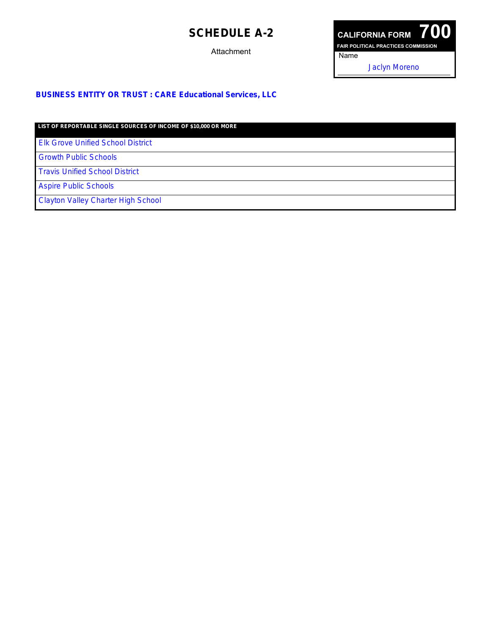## **SCHEDULE A-2**

**Attachment** 



#### **BUSINESS ENTITY OR TRUST : CARE Educational Services, LLC**

**LIST OF REPORTABLE SINGLE SOURCES OF INCOME OF \$10,000 OR MORE**

Elk Grove Unified School District

Growth Public Schools

Travis Unified School District

Aspire Public Schools

Clayton Valley Charter High School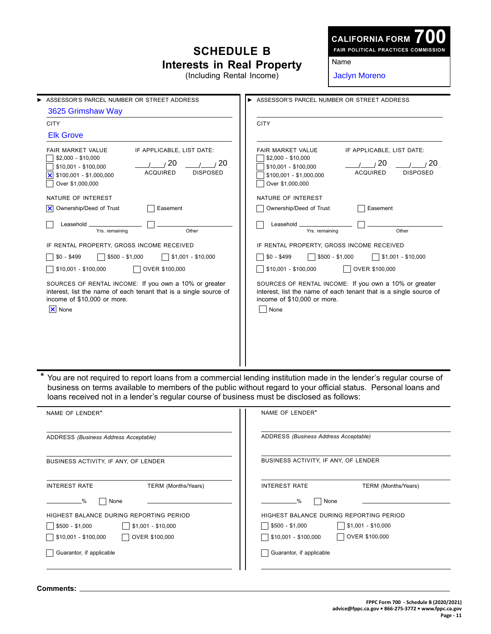# **SCHEDULE B Interests in Real Property**

**CALIFORNIA FORM**

**700 FAIR POLITICAL PRACTICES COMMISSION**

Name

| (Including Rental Income)                                                                                                                                                                                                  | <b>Jaclyn Moreno</b>                                                                                                                                                                                                                 |
|----------------------------------------------------------------------------------------------------------------------------------------------------------------------------------------------------------------------------|--------------------------------------------------------------------------------------------------------------------------------------------------------------------------------------------------------------------------------------|
| ASSESSOR'S PARCEL NUMBER OR STREET ADDRESS<br>3625 Grimshaw Way                                                                                                                                                            | ASSESSOR'S PARCEL NUMBER OR STREET ADDRESS                                                                                                                                                                                           |
| <b>CITY</b><br><b>Elk Grove</b>                                                                                                                                                                                            | <b>CITY</b>                                                                                                                                                                                                                          |
| IF APPLICABLE, LIST DATE:<br>FAIR MARKET VALUE<br>$$2,000 - $10,000$<br>20<br>/20<br>\$10,001 - \$100,000<br><b>ACQUIRED</b><br><b>DISPOSED</b><br>\$100,001 - \$1,000,000<br>$\vert \mathsf{x} \vert$<br>Over \$1,000,000 | IF APPLICABLE, LIST DATE:<br>FAIR MARKET VALUE<br>$$2,000 - $10,000$<br>/ 20<br>1/20<br>$$10,001 - $100,000$<br><b>ACQUIRED</b><br><b>DISPOSED</b><br>$$100,001 - $1,000,000$<br>Over \$1,000,000                                    |
| NATURE OF INTEREST                                                                                                                                                                                                         | NATURE OF INTEREST                                                                                                                                                                                                                   |
| Ownership/Deed of Trust<br>ΙxΙ<br>Easement                                                                                                                                                                                 | Easement<br>Ownership/Deed of Trust                                                                                                                                                                                                  |
| Leasehold<br>Yrs. remaining<br>Other                                                                                                                                                                                       | Leasehold<br>Yrs. remaining<br>Other                                                                                                                                                                                                 |
| IF RENTAL PROPERTY, GROSS INCOME RECEIVED                                                                                                                                                                                  | IF RENTAL PROPERTY, GROSS INCOME RECEIVED                                                                                                                                                                                            |
| $$0 - $499$<br>$$1,001 - $10,000$<br>$$500 - $1,000$                                                                                                                                                                       | $$0 - $499$<br>$$1,001 - $10,000$<br>$$500 - $1,000$                                                                                                                                                                                 |
| \$10,001 - \$100,000<br>OVER \$100,000                                                                                                                                                                                     | \$10,001 - \$100,000<br>OVER \$100,000                                                                                                                                                                                               |
| SOURCES OF RENTAL INCOME: If you own a 10% or greater<br>interest, list the name of each tenant that is a single source of<br>income of \$10,000 or more.<br>X None                                                        | SOURCES OF RENTAL INCOME: If you own a 10% or greater<br>interest, list the name of each tenant that is a single source of<br>income of \$10,000 or more.<br>None                                                                    |
| loans received not in a lender's regular course of business must be disclosed as follows:                                                                                                                                  | You are not required to report loans from a commercial lending institution made in the lender's regular course of<br>business on terms available to members of the public without regard to your official status. Personal loans and |
| NAME OF LENDER*                                                                                                                                                                                                            | NAME OF LENDER*                                                                                                                                                                                                                      |
| ADDRESS (Business Address Acceptable)                                                                                                                                                                                      | ADDRESS (Business Address Acceptable)                                                                                                                                                                                                |
| BUSINESS ACTIVITY, IF ANY, OF LENDER                                                                                                                                                                                       | BUSINESS ACTIVITY, IF ANY, OF LENDER                                                                                                                                                                                                 |
| TERM (Months/Years)<br><b>INTEREST RATE</b><br>-%<br>None                                                                                                                                                                  | TERM (Months/Years)<br><b>INTEREST RATE</b><br>-%<br>None                                                                                                                                                                            |
| HIGHEST BALANCE DURING REPORTING PERIOD<br>$$500 - $1,000$<br>$$1,001 - $10,000$<br>\$10,001 - \$100,000<br>OVER \$100,000                                                                                                 | HIGHEST BALANCE DURING REPORTING PERIOD<br>$$1,001 - $10,000$<br>$$500 - $1,000$<br>OVER \$100,000<br>\$10,001 - \$100,000                                                                                                           |

Guarantor, if applicable

**Comments:**

Guarantor, if applicable